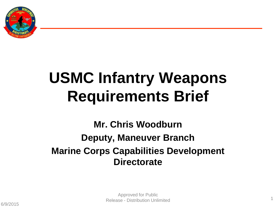

## **USMC Infantry Weapons Requirements Brief**

**Mr. Chris Woodburn Deputy, Maneuver Branch Marine Corps Capabilities Development Directorate**

1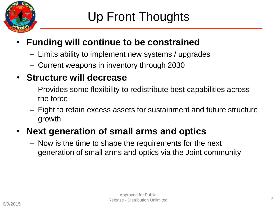

#### • **Funding will continue to be constrained**

- Limits ability to implement new systems / upgrades
- Current weapons in inventory through 2030

#### • **Structure will decrease**

- Provides some flexibility to redistribute best capabilities across the force
- Fight to retain excess assets for sustainment and future structure growth

#### • **Next generation of small arms and optics**

– Now is the time to shape the requirements for the next generation of small arms and optics via the Joint community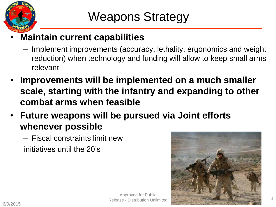

#### • **Maintain current capabilities**

- Implement improvements (accuracy, lethality, ergonomics and weight reduction) when technology and funding will allow to keep small arms relevant
- **Improvements will be implemented on a much smaller scale, starting with the infantry and expanding to other combat arms when feasible**
- **Future weapons will be pursued via Joint efforts whenever possible**
	- Fiscal constraints limit new initiatives until the 20's



Approved for Public Release - Distribution Unlimited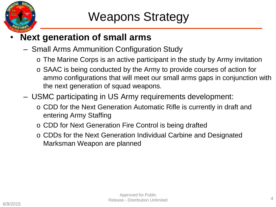

#### • **Next generation of small arms**

- Small Arms Ammunition Configuration Study
	- o The Marine Corps is an active participant in the study by Army invitation
	- o SAAC is being conducted by the Army to provide courses of action for ammo configurations that will meet our small arms gaps in conjunction with the next generation of squad weapons.
- USMC participating in US Army requirements development:
	- o CDD for the Next Generation Automatic Rifle is currently in draft and entering Army Staffing
	- o CDD for Next Generation Fire Control is being drafted
	- o CDDs for the Next Generation Individual Carbine and Designated Marksman Weapon are planned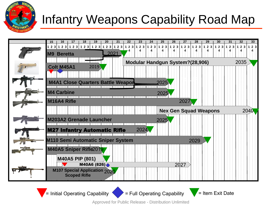

### Infantry Weapons Capability Road Map



Approved for Public Release - Distribution Unlimited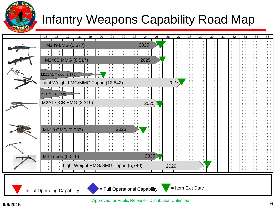

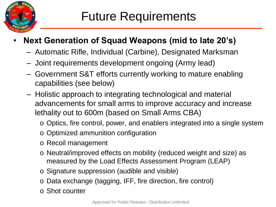

#### • **Next Generation of Squad Weapons (mid to late 20's)**

- Automatic Rifle, Individual (Carbine), Designated Marksman
- Joint requirements development ongoing (Army lead)
- Government S&T efforts currently working to mature enabling capabilities (see below)
- Holistic approach to integrating technological and material advancements for small arms to improve accuracy and increase lethality out to 600m (based on Small Arms CBA)
	- o Optics, fire control, power, and enablers integrated into a single system
	- o Optimized ammunition configuration
	- o Recoil management
	- o Neutral/improved effects on mobility (reduced weight and size) as measured by the Load Effects Assessment Program (LEAP)
	- o Signature suppression (audible and visible)
	- o Data exchange (tagging, IFF, fire direction, fire control)
	- o Shot counter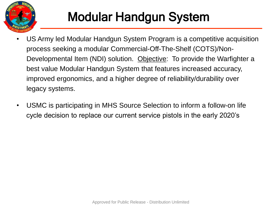

## Modular Handgun System

- US Army led Modular Handgun System Program is a competitive acquisition process seeking a modular Commercial-Off-The-Shelf (COTS)/Non-Developmental Item (NDI) solution. Objective: To provide the Warfighter a best value Modular Handgun System that features increased accuracy, improved ergonomics, and a higher degree of reliability/durability over legacy systems.
- USMC is participating in MHS Source Selection to inform a follow-on life cycle decision to replace our current service pistols in the early 2020's